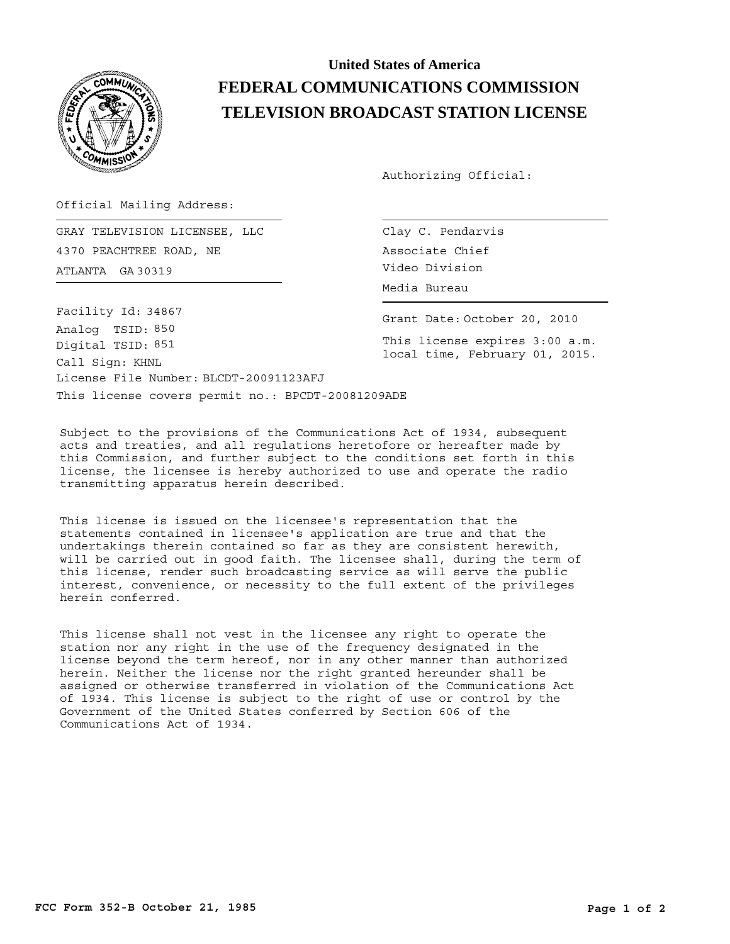

## **United States of America FEDERAL COMMUNICATIONS COMMISSION TELEVISION BROADCAST STATION LICENSE**

Authorizing Official:

Official Mailing Address:

ATLANTA Video Division GA 30319 GRAY TELEVISION LICENSEE, LLC 4370 PEACHTREE ROAD, NE

This license covers permit no.: BPCDT-20081209ADE License File Number: BLCDT-20091123AFJ Call Sign: KHNL Facility Id: 34867 Digital TSID: 851 Analog TSID: 850

Clay C. Pendarvis Associate Chief Media Bureau

Grant Date: October 20, 2010

This license expires 3:00 a.m. local time, February 01, 2015.

Subject to the provisions of the Communications Act of 1934, subsequent acts and treaties, and all regulations heretofore or hereafter made by this Commission, and further subject to the conditions set forth in this license, the licensee is hereby authorized to use and operate the radio transmitting apparatus herein described.

This license is issued on the licensee's representation that the statements contained in licensee's application are true and that the undertakings therein contained so far as they are consistent herewith, will be carried out in good faith. The licensee shall, during the term of this license, render such broadcasting service as will serve the public interest, convenience, or necessity to the full extent of the privileges herein conferred.

This license shall not vest in the licensee any right to operate the station nor any right in the use of the frequency designated in the license beyond the term hereof, nor in any other manner than authorized herein. Neither the license nor the right granted hereunder shall be assigned or otherwise transferred in violation of the Communications Act of 1934. This license is subject to the right of use or control by the Government of the United States conferred by Section 606 of the Communications Act of 1934.